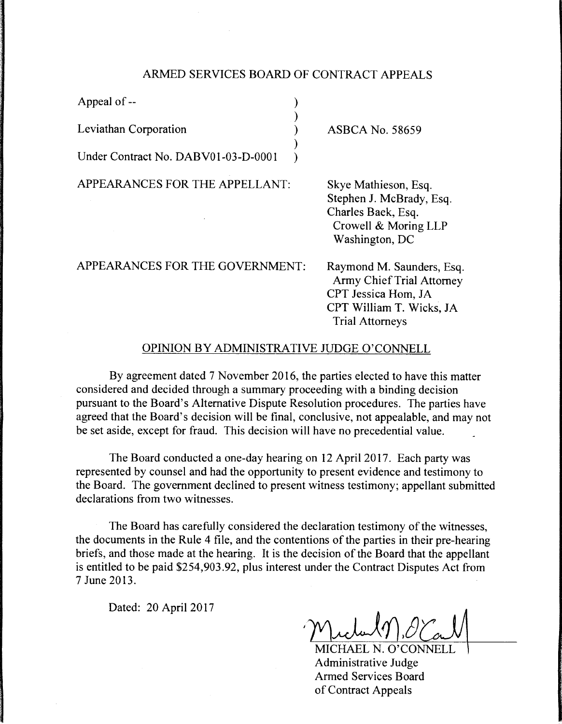## ARMED SERVICES BOARD OF CONTRACT APPEALS

)

)

Appeal of --

Leviathan Corporation )

Under Contract No. DABV01-03-D-0001

APPEARANCES FOR THE APPELLANT:

ASBCA No. 58659

Skye Mathieson, Esq. Stephen J. McBrady, Esq. Charles Baek, Esq. Crowell & Moring LLP Washington, DC

APPEARANCES FOR THE GOVERNMENT:

Raymond M. Saunders, Esq. Army Chief Trial Attorney CPT Jessica Hom, JA CPT William T. Wicks, JA Trial Attorneys

## OPINION BY ADMINISTRATIVE JUDGE O'CONNELL

By agreement dated 7 November 2016, the parties elected to have this matter considered and decided through a summary proceeding with a binding decision pursuant to the Board's Alternative Dispute Resolution procedures. The parties have agreed that the Board's decision will be final, conclusive, not appealable, and may not be set aside, except for fraud. This decision will have no precedential value.

The Board conducted a one-day hearing on 12 April 2017. Each party was represented by counsel and had the opportunity to present evidence and testimony to the Board. The government declined to present witness testimony; appellant submitted declarations from two witnesses.

The Board has carefully considered the declaration testimony of the witnesses, the documents in the Rule 4 file, and the contentions of the parties in their pre-hearing briefs, and those made at the hearing. It is the decision of the Board that the appellant is entitled to be paid \$254,903.92, plus interest under the Contract Disputes Act from 7 June 2013.

Dated: 20 April 2017

MICHAEL N. O'CONNELL Administrative Judge Armed Services Board of Contract Appeals